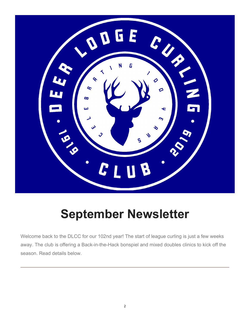

# **September Newsletter**

Welcome back to the DLCC for our 102nd year! The start of league curling is just a few weeks away. The club is offering a Back-in-the-Hack bonspiel and mixed doubles clinics to kick off the season. Read details below.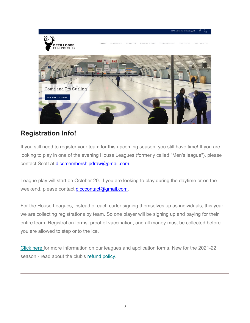

## **Registration Info!**

If you still need to register your team for this upcoming season, you still have time! If you are looking to play in one of the evening House Leagues (formerly called "Men's league"), please contact Scott at diccmembershipdraw@gmail.com.

League play will start on October 20. If you are looking to play during the daytime or on the weekend, please contact dicccontact@gmail.com.

For the House Leagues, instead of each curler signing themselves up as individuals, this year we are collecting registrations by team. So one player will be signing up and paying for their entire team. Registration forms, proof of vaccination, and all money must be collected before you are allowed to step onto the ice.

Click here for more information on our leagues and application forms. New for the 2021-22 season - read about the club's refund policy.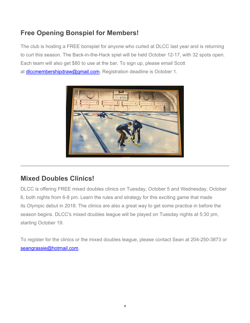## **Free Opening Bonspiel for Members!**

The club is hosting a FREE bonspiel for anyone who curled at DLCC last year and is returning to curl this season. The Back-in-the-Hack spiel will be held October 12-17, with 32 spots open. Each team will also get \$80 to use at the bar. To sign up, please email Scott at diccmembershipdraw@gmail.com. Registration deadline is October 1.



### **Mixed Doubles Clinics!**

DLCC is offering FREE mixed doubles clinics on Tuesday, October 5 and Wednesday, October 6, both nights from 6-8 pm. Learn the rules and strategy for this exciting game that made its Olympic debut in 2018. The clinics are also a great way to get some practice in before the season begins. DLCC's mixed doubles league will be played on Tuesday nights at 5:30 pm, starting October 19.

To register for the clinics or the mixed doubles league, please contact Sean at 204-250-3873 or seangrassie@hotmail.com.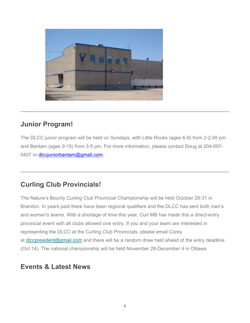

#### **Junior Program!**

The DLCC junior program will be held on Sundays, with Little Rocks (ages 6-9) from 2-2:45 pm and Bantam (ages 9-15) from 3-5 pm. For more information, please contact Doug at 204-697- 0407 or diccjuniorbantam@gmail.com.

#### **Curling Club Provincials!**

The Nature's Bounty Curling Club Provincial Championship will be held October 28-31 in Brandon. In years past there have been regional qualifiers and the DLCC has sent both men's and women's teams. With a shortage of time this year, Curl MB has made this a direct-entry provincial event with all clubs allowed one entry. If you and your team are interested in representing the DLCC at the Curling Club Provincials, please email Corey at diccpresident@gmail.com and there will be a random draw held ahead of the entry deadline (Oct 14). The national championship will be held November 28-December 4 in Ottawa.

#### **Events & Latest News**